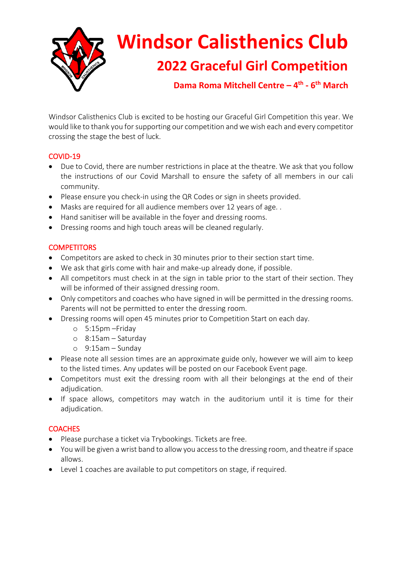

# **Windsor Calisthenics Club 2022 Graceful Girl Competition**

**Dama Roma Mitchell Centre – 4 th - 6 th March**

Windsor Calisthenics Club is excited to be hosting our Graceful Girl Competition this year. We would like to thank you for supporting our competition and we wish each and every competitor crossing the stage the best of luck.

## COVID-19

- Due to Covid, there are number restrictions in place at the theatre. We ask that you follow the instructions of our Covid Marshall to ensure the safety of all members in our cali community.
- Please ensure you check-in using the QR Codes or sign in sheets provided.
- Masks are required for all audience members over 12 years of age. .
- Hand sanitiser will be available in the foyer and dressing rooms.
- Dressing rooms and high touch areas will be cleaned regularly.

## **COMPETITORS**

- Competitors are asked to check in 30 minutes prior to their section start time.
- We ask that girls come with hair and make-up already done, if possible.
- All competitors must check in at the sign in table prior to the start of their section. They will be informed of their assigned dressing room.
- Only competitors and coaches who have signed in will be permitted in the dressing rooms. Parents will not be permitted to enter the dressing room.
- Dressing rooms will open 45 minutes prior to Competition Start on each day.
	- o 5:15pm –Friday
	- o 8:15am Saturday
	- o 9:15am Sunday
- Please note all session times are an approximate guide only, however we will aim to keep to the listed times. Any updates will be posted on our Facebook Event page.
- Competitors must exit the dressing room with all their belongings at the end of their adjudication.
- If space allows, competitors may watch in the auditorium until it is time for their adjudication.

#### **COACHES**

- Please purchase a ticket via Trybookings. Tickets are free.
- You will be given a wrist band to allow you access to the dressing room, and theatre if space allows.
- Level 1 coaches are available to put competitors on stage, if required.